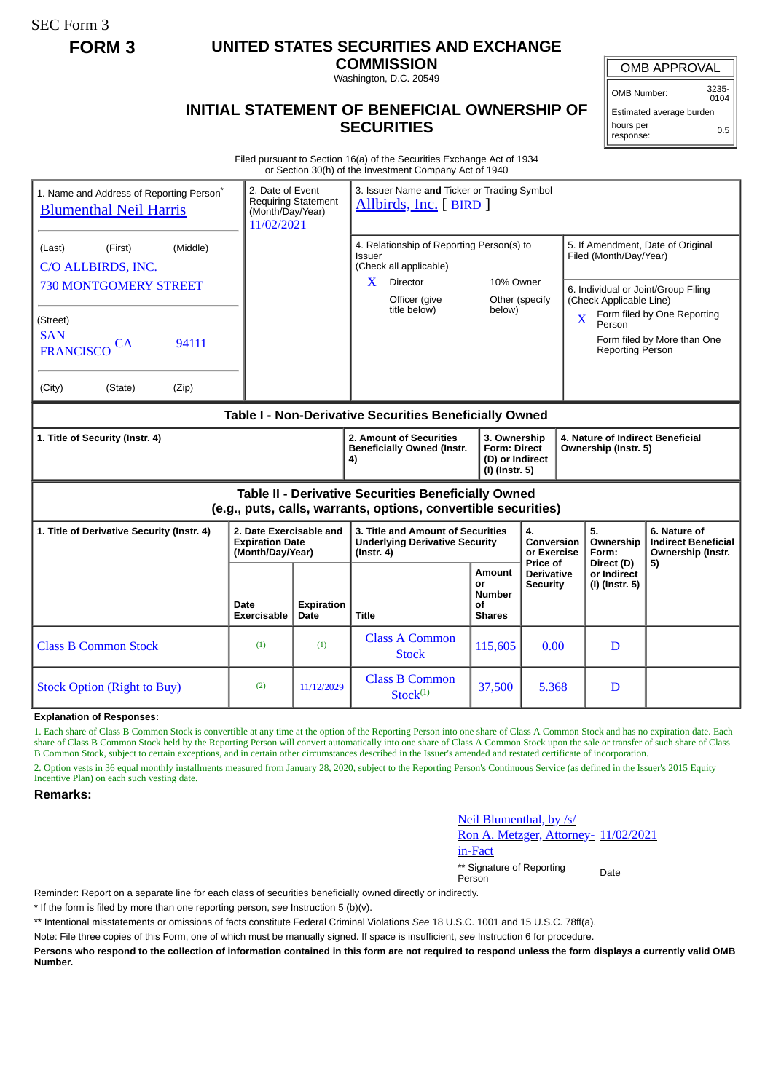SEC Form 3

## **FORM 3 UNITED STATES SECURITIES AND EXCHANGE**

**COMMISSION** Washington, D.C. 20549

## OMB APPROVAL

OMB Number: 3235- 0104

Estimated average burden hours per response: 0.5

## **INITIAL STATEMENT OF BENEFICIAL OWNERSHIP OF SECURITIES**

Filed pursuant to Section 16(a) of the Securities Exchange Act of 1934 or Section 30(h) of the Investment Company Act of 1940

| 1. Name and Address of Reporting Person <sup>®</sup><br><b>Blumenthal Neil Harris</b>                                 |                                                                       | 3. Issuer Name and Ticker or Trading Symbol<br>2. Date of Event<br><b>Requiring Statement</b><br>Allbirds, Inc. [BIRD]<br>(Month/Day/Year)<br>11/02/2021 |                                                                                                |                                                                          |                                                  |                                                             |                                                                                                                                                                                              |                                                                 |  |
|-----------------------------------------------------------------------------------------------------------------------|-----------------------------------------------------------------------|----------------------------------------------------------------------------------------------------------------------------------------------------------|------------------------------------------------------------------------------------------------|--------------------------------------------------------------------------|--------------------------------------------------|-------------------------------------------------------------|----------------------------------------------------------------------------------------------------------------------------------------------------------------------------------------------|-----------------------------------------------------------------|--|
| (Middle)<br>(First)<br>(Last)<br>C/O ALLBIRDS, INC.                                                                   |                                                                       |                                                                                                                                                          | 4. Relationship of Reporting Person(s) to<br>Issuer<br>(Check all applicable)                  |                                                                          |                                                  | 5. If Amendment, Date of Original<br>Filed (Month/Day/Year) |                                                                                                                                                                                              |                                                                 |  |
| <b>730 MONTGOMERY STREET</b>                                                                                          |                                                                       |                                                                                                                                                          | X.<br>Director<br>Officer (give<br>title below)                                                | 10% Owner<br>Other (specify                                              |                                                  |                                                             | 6. Individual or Joint/Group Filing<br>(Check Applicable Line)<br>Form filed by One Reporting<br>$\overline{\mathbf{X}}$<br>Person<br>Form filed by More than One<br><b>Reporting Person</b> |                                                                 |  |
| (Street)<br><b>SAN</b><br>94111<br><b>CA</b><br><b>FRANCISCO</b>                                                      |                                                                       |                                                                                                                                                          |                                                                                                | below)                                                                   |                                                  |                                                             |                                                                                                                                                                                              |                                                                 |  |
| (City)<br>(Zip)<br>(State)                                                                                            |                                                                       |                                                                                                                                                          |                                                                                                |                                                                          |                                                  |                                                             |                                                                                                                                                                                              |                                                                 |  |
| Table I - Non-Derivative Securities Beneficially Owned                                                                |                                                                       |                                                                                                                                                          |                                                                                                |                                                                          |                                                  |                                                             |                                                                                                                                                                                              |                                                                 |  |
| 1. Title of Security (Instr. 4)                                                                                       |                                                                       |                                                                                                                                                          | 2. Amount of Securities<br><b>Beneficially Owned (Instr.</b><br>4)                             | 3. Ownership<br><b>Form: Direct</b><br>(D) or Indirect<br>(I) (Instr. 5) |                                                  |                                                             | 4. Nature of Indirect Beneficial<br>Ownership (Instr. 5)                                                                                                                                     |                                                                 |  |
| Table II - Derivative Securities Beneficially Owned<br>(e.g., puts, calls, warrants, options, convertible securities) |                                                                       |                                                                                                                                                          |                                                                                                |                                                                          |                                                  |                                                             |                                                                                                                                                                                              |                                                                 |  |
| 1. Title of Derivative Security (Instr. 4)                                                                            | 2. Date Exercisable and<br><b>Expiration Date</b><br>(Month/Day/Year) |                                                                                                                                                          | 3. Title and Amount of Securities<br><b>Underlying Derivative Security</b><br>$($ Instr. 4 $)$ |                                                                          | 4.<br>Conversion<br>or Exercise                  |                                                             | 5.<br>Ownership<br>Form:                                                                                                                                                                     | 6. Nature of<br><b>Indirect Beneficial</b><br>Ownership (Instr. |  |
|                                                                                                                       | <b>Date</b><br><b>Exercisable</b>                                     | <b>Expiration</b><br>Date                                                                                                                                | <b>Title</b>                                                                                   | Amount<br>or<br><b>Number</b><br>οf<br><b>Shares</b>                     | Price of<br><b>Derivative</b><br><b>Security</b> |                                                             | Direct (D)<br>or Indirect<br>(I) (Instr. 5)                                                                                                                                                  | 5)                                                              |  |
| <b>Class B Common Stock</b>                                                                                           | (1)                                                                   | (1)                                                                                                                                                      | <b>Class A Common</b><br><b>Stock</b>                                                          | 115,605                                                                  | 0.00                                             |                                                             | D                                                                                                                                                                                            |                                                                 |  |
| <b>Stock Option (Right to Buy)</b>                                                                                    | (2)                                                                   | 11/12/2029                                                                                                                                               | <b>Class B Common</b><br>Stock <sup>(1)</sup>                                                  | 37,500                                                                   | 5.368                                            |                                                             | D                                                                                                                                                                                            |                                                                 |  |

**Explanation of Responses:**

1. Each share of Class B Common Stock is convertible at any time at the option of the Reporting Person into one share of Class A Common Stock and has no expiration date. Each share of Class B Common Stock held by the Reporting Person will convert automatically into one share of Class A Common Stock upon the sale or transfer of such share of Class B Common Stock, subject to certain exceptions, and in certain other circumstances described in the Issuer's amended and restated certificate of incorporation.

2. Option vests in 36 equal monthly installments measured from January 28, 2020, subject to the Reporting Person's Continuous Service (as defined in the Issuer's 2015 Equity Incentive Plan) on each such vesting date.

## **Remarks:**

Neil Blumenthal, by /s/ Ron A. Metzger, Attorney- 11/02/2021 in-Fact \*\* Signature of Reporting Person Date

Reminder: Report on a separate line for each class of securities beneficially owned directly or indirectly.

\* If the form is filed by more than one reporting person, *see* Instruction 5 (b)(v).

\*\* Intentional misstatements or omissions of facts constitute Federal Criminal Violations *See* 18 U.S.C. 1001 and 15 U.S.C. 78ff(a).

Note: File three copies of this Form, one of which must be manually signed. If space is insufficient, *see* Instruction 6 for procedure.

**Persons who respond to the collection of information contained in this form are not required to respond unless the form displays a currently valid OMB Number.**